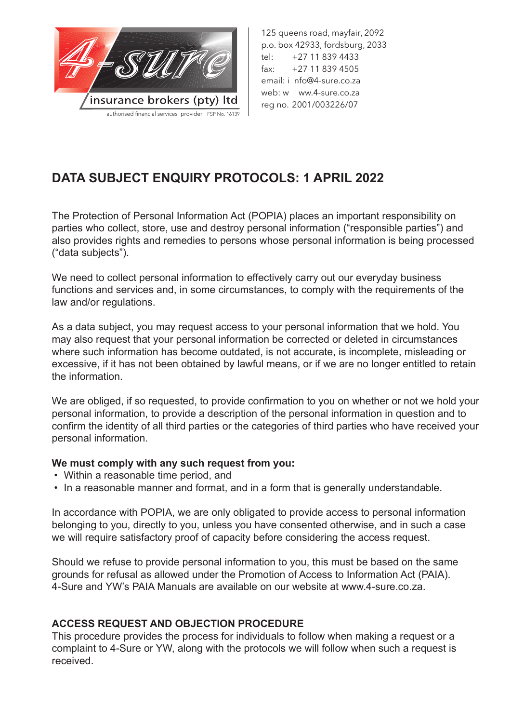

125 queens road, mayfair, 2092 p.o. box 42933, fordsburg, 2033 tel: +27 11 839 4433 fax: +27 11 839 4505 email: i nfo@4-sure.co.za web: w ww.4-sure.co.za reg no. 2001/003226/07

# **DATA SUBJECT ENQUIRY PROTOCOLS: 1 APRIL 2022**

The Protection of Personal Information Act (POPIA) places an important responsibility on parties who collect, store, use and destroy personal information ("responsible parties") and also provides rights and remedies to persons whose personal information is being processed ("data subjects").

We need to collect personal information to effectively carry out our everyday business functions and services and, in some circumstances, to comply with the requirements of the law and/or regulations.

As a data subject, you may request access to your personal information that we hold. You may also request that your personal information be corrected or deleted in circumstances where such information has become outdated, is not accurate, is incomplete, misleading or excessive, if it has not been obtained by lawful means, or if we are no longer entitled to retain the information.

We are obliged, if so requested, to provide confirmation to you on whether or not we hold your personal information, to provide a description of the personal information in question and to confirm the identity of all third parties or the categories of third parties who have received your personal information.

#### **We must comply with any such request from you:**

- Within a reasonable time period, and
- In a reasonable manner and format, and in a form that is generally understandable.

In accordance with POPIA, we are only obligated to provide access to personal information belonging to you, directly to you, unless you have consented otherwise, and in such a case we will require satisfactory proof of capacity before considering the access request.

Should we refuse to provide personal information to you, this must be based on the same grounds for refusal as allowed under the Promotion of Access to Information Act (PAIA). 4-Sure and YW's PAIA Manuals are available on our website at www.4-sure.co.za.

# **ACCESS REQUEST AND OBJECTION PROCEDURE**

This procedure provides the process for individuals to follow when making a request or a complaint to 4-Sure or YW, along with the protocols we will follow when such a request is received.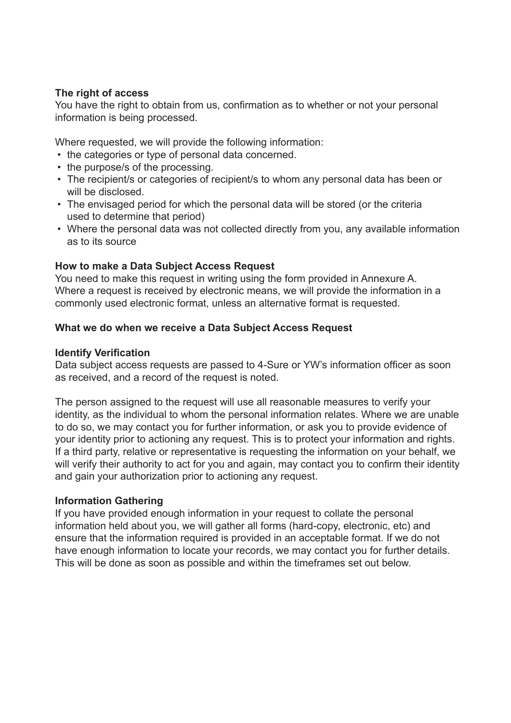## **The right of access**

You have the right to obtain from us, confirmation as to whether or not your personal information is being processed.

Where requested, we will provide the following information:

- the categories or type of personal data concerned.
- the purpose/s of the processing.
- The recipient/s or categories of recipient/s to whom any personal data has been or will be disclosed.
- The envisaged period for which the personal data will be stored (or the criteria used to determine that period)
- Where the personal data was not collected directly from you, any available information as to its source

# **How to make a Data Subject Access Request**

You need to make this request in writing using the form provided in Annexure A. Where a request is received by electronic means, we will provide the information in a commonly used electronic format, unless an alternative format is requested.

## **What we do when we receive a Data Subject Access Request**

#### **Identify Verification**

Data subject access requests are passed to 4-Sure or YW's information officer as soon as received, and a record of the request is noted.

The person assigned to the request will use all reasonable measures to verify your identity, as the individual to whom the personal information relates. Where we are unable to do so, we may contact you for further information, or ask you to provide evidence of your identity prior to actioning any request. This is to protect your information and rights. If a third party, relative or representative is requesting the information on your behalf, we will verify their authority to act for you and again, may contact you to confirm their identity and gain your authorization prior to actioning any request.

#### **Information Gathering**

If you have provided enough information in your request to collate the personal information held about you, we will gather all forms (hard-copy, electronic, etc) and ensure that the information required is provided in an acceptable format. If we do not have enough information to locate your records, we may contact you for further details. This will be done as soon as possible and within the timeframes set out below.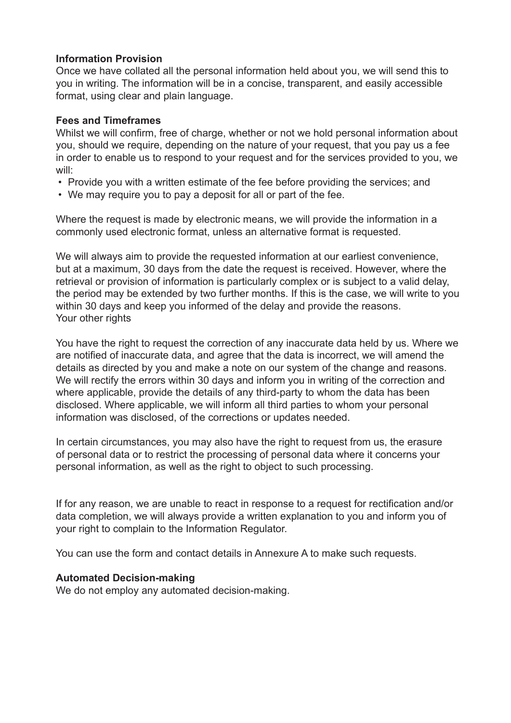## **Information Provision**

Once we have collated all the personal information held about you, we will send this to you in writing. The information will be in a concise, transparent, and easily accessible format, using clear and plain language.

#### **Fees and Timeframes**

Whilst we will confirm, free of charge, whether or not we hold personal information about you, should we require, depending on the nature of your request, that you pay us a fee in order to enable us to respond to your request and for the services provided to you, we will:

- Provide you with a written estimate of the fee before providing the services; and
- We may require you to pay a deposit for all or part of the fee.

Where the request is made by electronic means, we will provide the information in a commonly used electronic format, unless an alternative format is requested.

We will always aim to provide the requested information at our earliest convenience, but at a maximum, 30 days from the date the request is received. However, where the retrieval or provision of information is particularly complex or is subject to a valid delay, the period may be extended by two further months. If this is the case, we will write to you within 30 days and keep you informed of the delay and provide the reasons. Your other rights

You have the right to request the correction of any inaccurate data held by us. Where we are notified of inaccurate data, and agree that the data is incorrect, we will amend the details as directed by you and make a note on our system of the change and reasons. We will rectify the errors within 30 days and inform you in writing of the correction and where applicable, provide the details of any third-party to whom the data has been disclosed. Where applicable, we will inform all third parties to whom your personal information was disclosed, of the corrections or updates needed.

In certain circumstances, you may also have the right to request from us, the erasure of personal data or to restrict the processing of personal data where it concerns your personal information, as well as the right to object to such processing.

If for any reason, we are unable to react in response to a request for rectification and/or data completion, we will always provide a written explanation to you and inform you of your right to complain to the Information Regulator.

You can use the form and contact details in Annexure A to make such requests.

#### **Automated Decision-making**

We do not employ any automated decision-making.